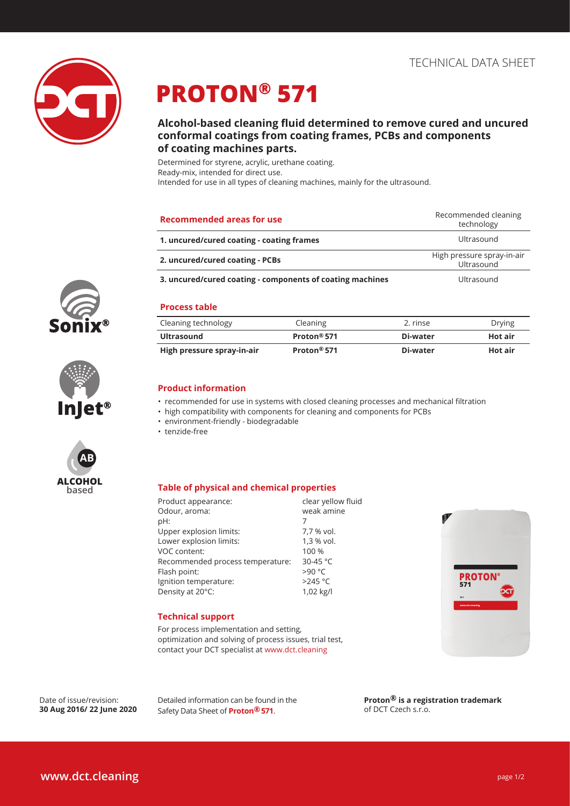

# **PROTON® 571**

### **Alcohol-based cleaning fluid determined to remove cured and uncured conformal coatings from coating frames, PCBs and components of coating machines parts.**

Determined for styrene, acrylic, urethane coating. Ready-mix, intended for direct use. Intended for use in all types of cleaning machines, mainly for the ultrasound.

| <b>Recommended areas for use</b>                          | Recommended cleaning<br>technology       |
|-----------------------------------------------------------|------------------------------------------|
| 1. uncured/cured coating - coating frames                 | Ultrasound                               |
| 2. uncured/cured coating - PCBs                           | High pressure spray-in-air<br>Ultrasound |
| 3. uncured/cured coating - components of coating machines | Ultrasound                               |

### **Process table**

| Cleaning technology        | Cleaning                | 2. rinse | Drying         |
|----------------------------|-------------------------|----------|----------------|
| Ultrasound                 | Proton <sup>®</sup> 571 | Di-water | Hot air        |
| High pressure spray-in-air | Proton <sup>®</sup> 571 | Di-water | <b>Hot air</b> |

### **Product information**

- recommended for use in systems with closed cleaning processes and mechanical filtration
- high compatibility with components for cleaning and components for PCBs
- environment-friendly biodegradable
- tenzide-free

### **Table of physical and chemical properties**

| clear yellow fluid |
|--------------------|
| weak amine         |
| 7                  |
| 7,7 % vol.         |
| 1,3 % vol.         |
| 100 %              |
| 30-45 $°C$         |
| >90 °C             |
| $>245$ °C          |
| 1,02 kg/l          |
|                    |



### **Technical support**

For process implementation and setting, optimization and solving of process issues, trial test, contact your DCT specialist at www.dct.cleaning

Date of issue/revision: **30 Aug 2016/ 22 June 2020** Detailed information can be found in the Safety Data Sheet of **Proton® 571**.

**Proton® is a registration trademark**  of DCT Czech s.r.o.